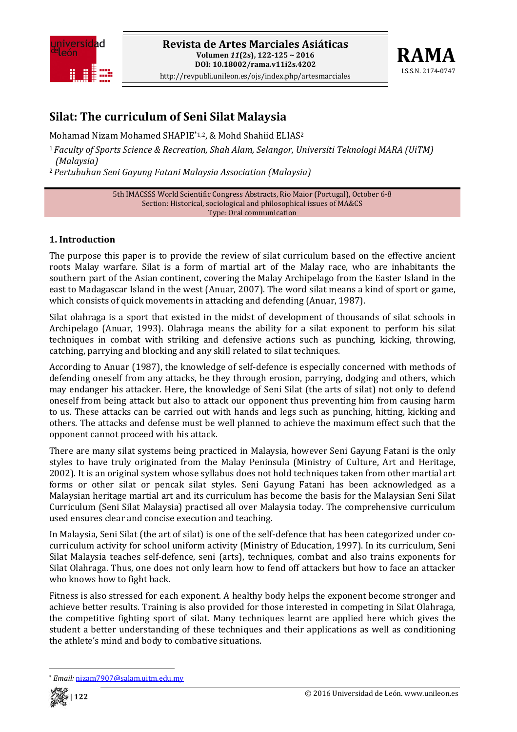



# **Silat: The curriculum of Seni Silat Malaysia**

Mohamad Nizam Mohamed SHAPIE\*1,2, & Mohd Shahiid ELIAS2

<sup>1</sup>*Faculty of Sports Science & Recreation, Shah Alam, Selangor, Universiti Teknologi MARA (UiTM) (Malaysia)*

<sup>2</sup>*Pertubuhan Seni Gayung Fatani Malaysia Association (Malaysia)*

5th IMACSSS World Scientific Congress Abstracts, Rio Maior (Portugal), October 6‐8 Section: Historical, sociological and philosophical issues of MA&CS Type: Oral communication

## **1. Introduction**

The purpose this paper is to provide the review of silat curriculum based on the effective ancient roots Malay warfare. Silat is a form of martial art of the Malay race, who are inhabitants the southern part of the Asian continent, covering the Malay Archipelago from the Easter Island in the east to Madagascar Island in the west (Anuar, 2007). The word silat means a kind of sport or game, which consists of quick movements in attacking and defending (Anuar, 1987).

Silat olahraga is a sport that existed in the midst of development of thousands of silat schools in Archipelago (Anuar, 1993). Olahraga means the ability for a silat exponent to perform his silat techniques in combat with striking and defensive actions such as punching, kicking, throwing, catching, parrying and blocking and any skill related to silat techniques.

According to Anuar (1987), the knowledge of self‐defence is especially concerned with methods of defending oneself from any attacks, be they through erosion, parrying, dodging and others, which may endanger his attacker. Here, the knowledge of Seni Silat (the arts of silat) not only to defend oneself from being attack but also to attack our opponent thus preventing him from causing harm to us. These attacks can be carried out with hands and legs such as punching, hitting, kicking and others. The attacks and defense must be well planned to achieve the maximum effect such that the opponent cannot proceed with his attack.

There are many silat systems being practiced in Malaysia, however Seni Gayung Fatani is the only styles to have truly originated from the Malay Peninsula (Ministry of Culture, Art and Heritage, 2002). It is an original system whose syllabus does not hold techniques taken from other martial art forms or other silat or pencak silat styles. Seni Gayung Fatani has been acknowledged as a Malaysian heritage martial art and its curriculum has become the basis for the Malaysian Seni Silat Curriculum (Seni Silat Malaysia) practised all over Malaysia today. The comprehensive curriculum used ensures clear and concise execution and teaching.

In Malaysia, Seni Silat (the art of silat) is one of the self-defence that has been categorized under cocurriculum activity for school uniform activity (Ministry of Education, 1997). In its curriculum, Seni Silat Malaysia teaches self-defence, seni (arts), techniques, combat and also trains exponents for Silat Olahraga. Thus, one does not only learn how to fend off attackers but how to face an attacker who knows how to fight back.

Fitness is also stressed for each exponent. A healthy body helps the exponent become stronger and achieve better results. Training is also provided for those interested in competing in Silat Olahraga, the competitive fighting sport of silat. Many techniques learnt are applied here which gives the student a better understanding of these techniques and their applications as well as conditioning the athlete's mind and body to combative situations.

 \* *Email:* nizam7907@salam.uitm.edu.my

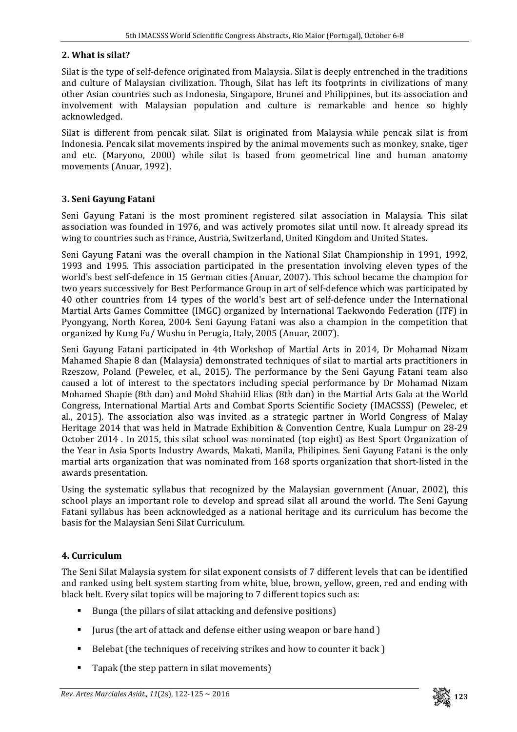## **2. What is silat?**

Silat is the type of self‐defence originated from Malaysia. Silat is deeply entrenched in the traditions and culture of Malaysian civilization. Though, Silat has left its footprints in civilizations of many other Asian countries such as Indonesia, Singapore, Brunei and Philippines, but its association and involvement with Malaysian population and culture is remarkable and hence so highly acknowledged.

Silat is different from pencak silat. Silat is originated from Malaysia while pencak silat is from Indonesia. Pencak silat movements inspired by the animal movements such as monkey, snake, tiger and etc. (Maryono, 2000) while silat is based from geometrical line and human anatomy movements (Anuar, 1992).

### **3. Seni Gayung Fatani**

Seni Gayung Fatani is the most prominent registered silat association in Malaysia. This silat association was founded in 1976, and was actively promotes silat until now. It already spread its wing to countries such as France, Austria, Switzerland, United Kingdom and United States.

Seni Gayung Fatani was the overall champion in the National Silat Championship in 1991, 1992, 1993 and 1995. This association participated in the presentation involving eleven types of the world's best self‐defence in 15 German cities (Anuar, 2007). This school became the champion for two years successively for Best Performance Group in art of self-defence which was participated by 40 other countries from 14 types of the world's best art of self‐defence under the International Martial Arts Games Committee (IMGC) organized by International Taekwondo Federation (ITF) in Pyongyang, North Korea, 2004. Seni Gayung Fatani was also a champion in the competition that organized by Kung Fu/ Wushu in Perugia, Italy, 2005 (Anuar, 2007).

Seni Gayung Fatani participated in 4th Workshop of Martial Arts in 2014, Dr Mohamad Nizam Mahamed Shapie 8 dan (Malaysia) demonstrated techniques of silat to martial arts practitioners in Rzeszow, Poland (Pewelec, et al., 2015). The performance by the Seni Gayung Fatani team also caused a lot of interest to the spectators including special performance by Dr Mohamad Nizam Mohamed Shapie (8th dan) and Mohd Shahiid Elias (8th dan) in the Martial Arts Gala at the World Congress, International Martial Arts and Combat Sports Scientific Society (IMACSSS) (Pewelec, et al., 2015). The association also was invited as a strategic partner in World Congress of Malay Heritage 2014 that was held in Matrade Exhibition & Convention Centre, Kuala Lumpur on 28‐29 October 2014 . In 2015, this silat school was nominated (top eight) as Best Sport Organization of the Year in Asia Sports Industry Awards, Makati, Manila, Philipines. Seni Gayung Fatani is the only martial arts organization that was nominated from 168 sports organization that short‐listed in the awards presentation.

Using the systematic syllabus that recognized by the Malaysian government (Anuar, 2002), this school plays an important role to develop and spread silat all around the world. The Seni Gayung Fatani syllabus has been acknowledged as a national heritage and its curriculum has become the basis for the Malaysian Seni Silat Curriculum.

## **4. Curriculum**

The Seni Silat Malaysia system for silat exponent consists of 7 different levels that can be identified and ranked using belt system starting from white, blue, brown, yellow, green, red and ending with black belt. Every silat topics will be majoring to 7 different topics such as:

- Bunga (the pillars of silat attacking and defensive positions)
- Jurus (the art of attack and defense either using weapon or bare hand )
- Belebat (the techniques of receiving strikes and how to counter it back)
- Tapak (the step pattern in silat movements)

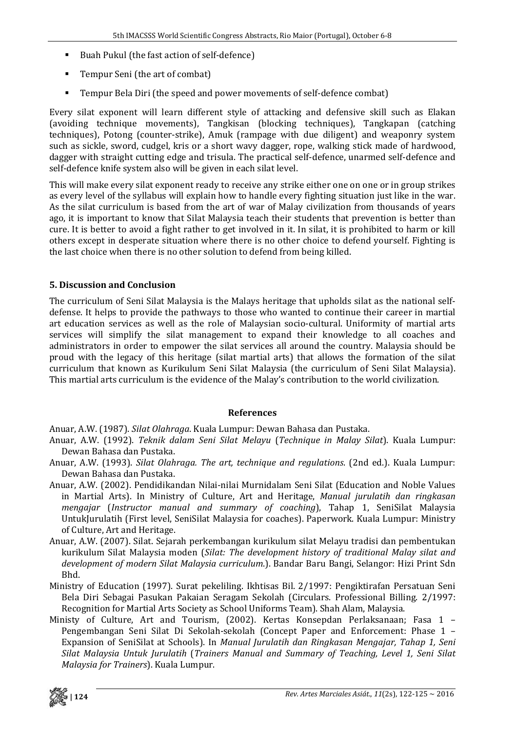- Buah Pukul (the fast action of self-defence)
- Tempur Seni (the art of combat)
- Tempur Bela Diri (the speed and power movements of self-defence combat)

Every silat exponent will learn different style of attacking and defensive skill such as Elakan (avoiding technique movements), Tangkisan (blocking techniques), Tangkapan (catching techniques), Potong (counter‐strike), Amuk (rampage with due diligent) and weaponry system such as sickle, sword, cudgel, kris or a short wavy dagger, rope, walking stick made of hardwood, dagger with straight cutting edge and trisula. The practical self‐defence, unarmed self‐defence and self-defence knife system also will be given in each silat level.

This will make every silat exponent ready to receive any strike either one on one or in group strikes as every level of the syllabus will explain how to handle every fighting situation just like in the war. As the silat curriculum is based from the art of war of Malay civilization from thousands of years ago, it is important to know that Silat Malaysia teach their students that prevention is better than cure. It is better to avoid a fight rather to get involved in it. In silat, it is prohibited to harm or kill others except in desperate situation where there is no other choice to defend yourself. Fighting is the last choice when there is no other solution to defend from being killed.

## **5. Discussion and Conclusion**

The curriculum of Seni Silat Malaysia is the Malays heritage that upholds silat as the national self‐ defense. It helps to provide the pathways to those who wanted to continue their career in martial art education services as well as the role of Malaysian socio‐cultural. Uniformity of martial arts services will simplify the silat management to expand their knowledge to all coaches and administrators in order to empower the silat services all around the country. Malaysia should be proud with the legacy of this heritage (silat martial arts) that allows the formation of the silat curriculum that known as Kurikulum Seni Silat Malaysia (the curriculum of Seni Silat Malaysia). This martial arts curriculum is the evidence of the Malay's contribution to the world civilization.

#### **References**

Anuar, A.W. (1987). *Silat Olahraga*. Kuala Lumpur: Dewan Bahasa dan Pustaka.

- Anuar, A.W. (1992). *Teknik dalam Seni Silat Melayu* (*Technique in Malay Silat*). Kuala Lumpur: Dewan Bahasa dan Pustaka.
- Anuar, A.W. (1993). *Silat Olahraga. The art, technique and regulations*. (2nd ed.). Kuala Lumpur: Dewan Bahasa dan Pustaka.
- Anuar, A.W. (2002). Pendidikandan Nilai‐nilai Murnidalam Seni Silat (Education and Noble Values in Martial Arts). In Ministry of Culture, Art and Heritage, *Manual jurulatih dan ringkasan mengajar* (*Instructor manual and summary of coaching*), Tahap 1, SeniSilat Malaysia UntukJurulatih (First level, SeniSilat Malaysia for coaches). Paperwork. Kuala Lumpur: Ministry of Culture, Art and Heritage.
- Anuar, A.W. (2007). Silat. Sejarah perkembangan kurikulum silat Melayu tradisi dan pembentukan kurikulum Silat Malaysia moden (*Silat: The development history of traditional Malay silat and development of modern Silat Malaysia curriculum*.). Bandar Baru Bangi, Selangor: Hizi Print Sdn Bhd.
- Ministry of Education (1997). Surat pekeliling. Ikhtisas Bil. 2/1997: Pengiktirafan Persatuan Seni Bela Diri Sebagai Pasukan Pakaian Seragam Sekolah (Circulars. Professional Billing. 2/1997: Recognition for Martial Arts Society as School Uniforms Team). Shah Alam, Malaysia.
- Ministy of Culture, Art and Tourism, (2002). Kertas Konsepdan Perlaksanaan; Fasa 1 Pengembangan Seni Silat Di Sekolah-sekolah (Concept Paper and Enforcement: Phase 1 -Expansion of SeniSilat at Schools). In *Manual Jurulatih dan Ringkasan Mengajar, Tahap 1, Seni Silat Malaysia Untuk Jurulatih* (*Trainers Manual and Summary of Teaching, Level 1, Seni Silat Malaysia for Trainers*). Kuala Lumpur.